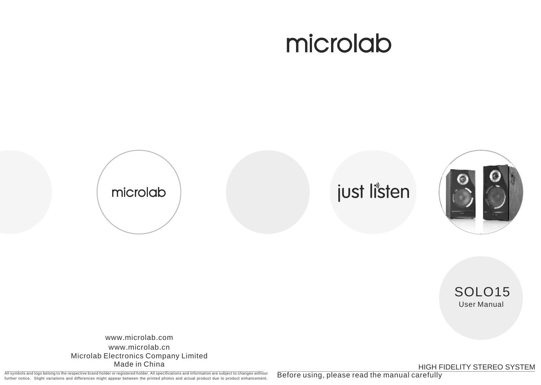# microlab



SOLO15 User Manual

www.microlab.com www.microlab.cn Microlab Electronics Company Limited Made in China

All symbols and logo belong to the respective brand holder or registered holder. All specifications and information are subject to changes without further notice. Slight variations and differences might appear between the printed photos and actual product due to product enhancement.

HIGH FIDELITY STEREO SYSTEM

Before using, please read the manual carefully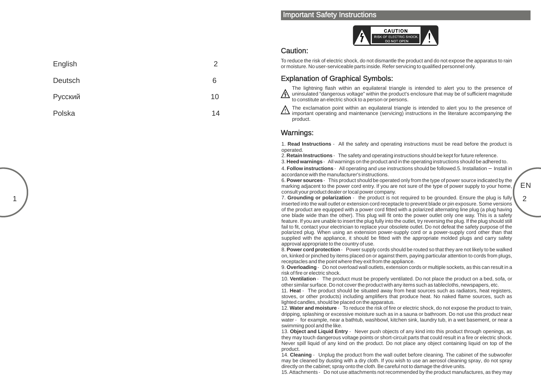## Important Safety Instructions



## Caution:

To reduce the risk of electric shock, do not dismantle the product and do not expose the apparatus to rain or moisture. No user-serviceable parts inside. Refer servicing to qualified personnel only.

## Explanation of Graphical Symbols:

The lightning flash within an equilateral triangle is intended to alert you to the presence of uninsulated "dangerous voltage" within the product's enclosure that may be of sufficient magnitude to constitute an electric shock to a person or persons.

The exclamation point within an equilateral triangle is intended to alert you to the presence of

 $\frac{1}{1}$  important operating and maintenance (servicing) instructions in the literature accompanying the product.

## Warnings:

1. **Read Instructions** - All the safety and operating instructions must be read before the product is operated.

2. **Retain Instructions** - The safety and operating instructions should be kept for future reference.

3. **Heed warnings** - All warnings on the product and in the operating instructions should be adhered to.

4. **Follow instructions** - All operating and use instructions should be followed.5. Installation Install in accordance with the manufacturer's instructions.

6. **Power sources** - This product should be operated only from the type of power source indicated by the marking adjacent to the power cord entry. If you are not sure of the type of power supply to your home, consult your product dealer or local power company.

EN  $\mathfrak{D}$ 

7. **Grounding or polarization** - the product is not required to be grounded. Ensure the plug is fully inserted into the wall outlet or extension cord receptacle to prevent blade or pin exposure. Some versions of the product are equipped with a power cord fitted with a polarized alternating line plug (a plug having one blade wide than the other). This plug will fit onto the power outlet only one way. This is a safety feature. If you are unable to insert the plug fully into the outlet, try reversing the plug. If the plug should still fail to fit, contact your electrician to replace your obsolete outlet. Do not defeat the safety purpose of the polarized plug. When using an extension power-supply cord or a power-supply cord other than that supplied with the appliance, it should be fitted with the appropriate molded plugs and carry safety approval appropriate to the country of use.

8. **Power cord protection** - Power supply cords should be routed so that they are not likely to be walked on, kinked or pinched by items placed on or against them, paying particular attention to cords from plugs, receptacles and the point where they exit from the appliance.

9. **Overloading** - Do not overload wall outlets, extension cords or multiple sockets, as this can result in a risk of fire or electric shock.

10. **Ventilation** - The product must be properly ventilated. Do not place the product on a bed, sofa, or other similar surface. Do not cover the product with any items such as tablecloths, newspapers, etc.

11. **Heat** - The product should be situated away from heat sources such as radiators, heat registers, stoves, or other products) including amplifiers that produce heat. No naked flame sources, such as lighted candles, should be placed on the apparatus.

12. **Water and moisture** - To reduce the risk of fire or electric shock, do not expose the product to train, dripping, splashing or excessive moisture such as in a sauna or bathroom. Do not use this product near water - for example, near a bathtub, washbowl, kitchen sink, laundry tub, in a wet basement, or near a swimming pool and the like.

13. **Object and Liquid Entry** - Never push objects of any kind into this product through openings, as they may touch dangerous voltage points or short-circuit parts that could result in a fire or electric shock. Never spill liquid of any kind on the product. Do not place any object containing liquid on top of the product.

14. **Cleaning** - Unplug the product from the wall outlet before cleaning. The cabinet of the subwoofer may be cleaned by dusting with a dry cloth. If you wish to use an aerosol cleaning spray, do not spray directly on the cabinet; spray onto the cloth. Be careful not to damage the drive units.

15. Attachments - Do not use attachments not recommended by the product manufactures, as they may

English 2 Deutsch 6 Русский 10 Polska i 14

1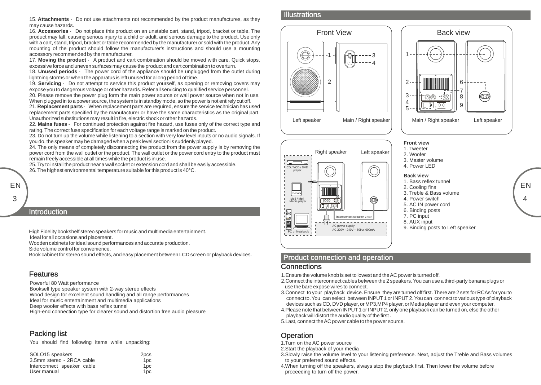15. **Attachments** - Do not use attachments not recommended by the product manufactures, as they may cause hazards.

16. **Accessories** - Do not place this product on an unstable cart, stand, tripod, bracket or table. The product may fall, causing serious injury to a child or adult, and serious damage to the product. Use only with a cart, stand, tripod, bracket or table recommended by the manufacturer or sold with the product. Any mounting of the product should follow the manufacturer's instructions and should use a mounting accessory recommended by the manufacturer.

17. **Moving the product** - A product and cart combination should be moved with care. Quick stops, excessive force and uneven surfaces may cause the product and cart combination to overturn.

18. **Unused periods** - The power cord of the appliance should be unplugged from the outlet during lightning storms or when the apparatus is left unused for a long period of time.

19. **Servicing** - Do not attempt to service this product yourself, as opening or removing covers may expose you to dangerous voltage or other hazards. Refer all servicing to qualified service personnel. 20. Please remove the power plug form the main power source or wall power source when not in use. When plugged in to a power source, the system is in standby mode, so the power is not entirely cut off.

21. **Replacement parts** - When replacement parts are required, ensure the service technician has used replacement parts specified by the manufacturer or have the same characteristics as the original part. Unauthorized substitutions may result in fire, electric shock or other hazards.

22. **Mains fuses** - For continued protection against fire hazard, use fuses only of the correct type and rating. The correct fuse specification for each voltage range is marked on the product.

23. Do not turn up the volume while listening to a section with very low level inputs or no audio signals. If you do, the speaker may be damaged when a peak level section is suddenly played.

24. The only means of completely disconnecting the product from the power supply is by removing the power cord from the wall outlet or the product. The wall outlet or the power cord entry to the product must remain freely accessible at all times while the product is in use.

25. Try to install the product near a wall socket or extension cord and shall be easily accessible.

26. The highest environmental temperature suitable for this product is 40°C.

EN 3

### Introduction

High Fidelity bookshelf stereo speakers for music and multimedia entertainment.

Ideal for all occasions and placement.

Wooden cabinets for ideal sound performances and accurate production.

Side volume control for convenience.

Book cabinet for stereo sound effects, and easy placement between LCD screen or playback devices.

## Features

Powerful 80 Watt performance Bookself type speaker system with 2-way stereo effects Wood design for excellent sound handling and all range performances Ideal for music entertainment and multimedia applications Deep woofer effects with bass reflex tunnel High-end connection type for clearer sound and distortion free audio pleasure

## Packing list

You should find following items while unpacking:

| SOLO15 speakers            | 2pcs            |
|----------------------------|-----------------|
| 3.5mm stereo - 2RCA cable  | 1 <sub>DC</sub> |
| Interconnect speaker cable | 1 <sub>DC</sub> |
| User manual                | 1 <sub>DC</sub> |

## **Illustrations**







- 1. Tweeter
- 2. Woofer
- 3. Master volume
- 4. Power LED

#### **Back view**

- 1. Bass reflex tunnel
- 2. Cooling fins
- 3. Treble & Bass volume
- 4. Power switch
- 5. AC IN power cord
- 6. Binding posts
- 7. PC input
- 8. AUX input
- 9. Binding posts to Left speaker

## **Product connection and operation**

AC power supply  $AC 220V - 240V - 50Hz$ , 600mA

TT of Joc  $\sim$ 9 °C

## **Connections**

Mp3 / Mp4 Media player

600

CD / VCD / DVD player

 $\overline{\phantom{a}}$ 

1.Ensure the volume knob is set to lowest and the AC power is turned off.

**Ierconnect speaker cable** 

 $\odot$ 

Right speaker Left speaker

- 2.Connect the interconnect cables between the 2 speakers. You can use a third-party banana plugs or use the bare expose wires to connect.
- 3.Connect to your playback device. Ensure they are turned off first. There are 2 sets for RCAs for you to connect to. You can select between INPUT1 or INPUT2. You can connect to various type of playback devices such as CD, DVD player, or MP3,MP4 player, or Media player and even your computer.
- 4. Please note that between INPUT 1 or INPUT 2, only one playback can be turned on, else the other playback will distort the audio quality of the first .
- 5.Last, connect the AC power cable to the power source.

## **Operation**

- 1.Turn on the AC power source
- 2.Start the playback of your media
- 3.Slowly raise the volume level to your listening preference. Next, adjust the Treble and Bass volumes to your preferred sound effects.
- 4.When turning off the speakers, always stop the playback first. Then lower the volume before proceeding to turn off the power.

EN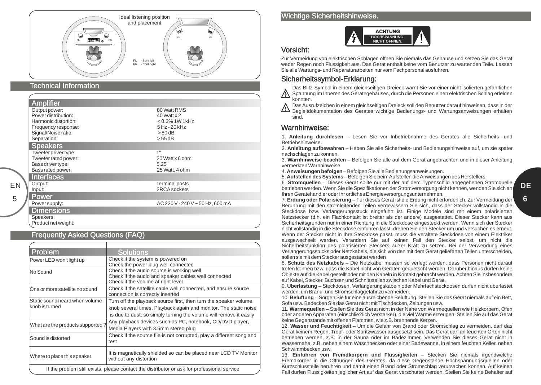

## Technical Information

EN 5

#### **Amplifier Speakers** Interfaces **Power**<br>**Power supply: Dimensions** Output power: 80 Watt RMS Power distribution:  $\begin{array}{cc}\n\text{40 Watt x 2} \\
\text{411 + 42} \\
\text{422 + 43} \\
\text{433 + 44} \\
\text{444 + 45} \\
\text{455 + 46} \\
\text{466 + 47} \\
\text{476 + 48} \\
\text{487 + 48} \\
\text{494 + 48} \\
\text{404 + 48} \\
\text{404 + 48} \\
\text{416 + 48} \\
\text{426 + 48} \\
\text{437 + 48} \\
\text{447 + 48} \\
\text$ Harmonic distortion:  $\leq 0.3\%$  1W 1<br>Frequency response:  $5\text{ Hz}$  - 20 kHz Frequency response: 5 Hz - 20<br>Signal/Noise ratio: 5 = 5 Az - 20 kHz Signal/Noise ratio:  $>80$  dB<br>Separation:  $>55$  dB Separation: Tweeter driver type: 1"<br>
Tweeter rated power: 20 Watt x 6 ohm Tweeter rated power: 20 Watter rated power: 20 Watter of the contract of the contract of the contract of the contract of the contract of the contract of the contract of the contract of the contract of the contract of the c Bass driver type:  $5.25"$ <br>Bass rated power:  $25$  Watt. 4 ohm Bass rated power: Output:<br>
Input:<br>
Input: 2RCA sockets 2RCA sockets  $AC 220 V - 240 V - 50 Hz$ , 600 mA Speakers: Product net weight:

## Frequently Asked Questions (FAQ)

| Problem                          | <b>Solutions</b>                                                                            |
|----------------------------------|---------------------------------------------------------------------------------------------|
| Power LED won't light up         | Check if the system is powered on                                                           |
|                                  | Check the power plug well connected                                                         |
| No Sound                         | Check if the audio source is working well                                                   |
|                                  | Check if the audio and speaker cables well connected                                        |
|                                  | Check if the volume at right level                                                          |
| One or more satellite no sound   | Check if the satellite cable well connected, and ensure source                              |
|                                  | connection is correctly inserted                                                            |
| Static sound heard when volume   | Turn off the playback source first, then turn the speaker volume                            |
| lknob is turned                  | knob several times. Playback again and monitor. The static noise                            |
|                                  | is due to dust, so simply turning the volume will remove it easily                          |
| What are the products supported? | Any playback devices such as PC, notebook, CD/DVD player,                                   |
|                                  | Media Players with 3.5mm stereo plug                                                        |
| Sound is distorted               | Check if the source file is not corrupted, play a different song and                        |
|                                  | test                                                                                        |
|                                  | It is magnetically shielded so can be placed near LCD TV Monitor                            |
| Where to place this speaker      | without any distortion                                                                      |
|                                  | If the problem still exists, please contact the distributor or ask for professional service |

## Wichtige Sicherheitshinweise.



## Vorsicht:

Zur Vermeidung von elektrischen Schlagen offnen Sie niemals das Gehause und setzen Sie das Gerat weder Regen noch Flussigkeit aus. Das Gerat enthalt keine vom Benutzer zu wartenden Teile. Lassen Sie alle Wartungs- und Reparaturarbeiten nur vom Fachpersonal ausfuhren.

## Sicherheitssymbol-Erklarung:

Das Blitz-Symbol in einem gleichseitigen Dreieck warnt Sie vor einer nicht isolierten gefahrlichen Spannung im Inneren des Gerategehauses, durch die Personen einen elektrischen Schlag erleiden konnten.

Das Ausrufzeichen in einem gleichseitigen Dreieck soll den Benutzer darauf hinweisen, dass in der Begleitdokumentation des Gerates wichtige Bedienungs- und Wartungsanweisungen erhalten sind.

## Warnhinweise:

1. **Anleitung durchlesen** – Lesen Sie vor Inbetriebnahme des Gerates alle Sicherheits- und Betriebshinweise.

2. **Anleitung aufbewahren** – Heben Sie alle Sicherheits- und Bedienungshinweise auf, um sie spater nachschlagen zu konnen.

3. **Warnhinweise beachten** – Befolgen Sie alle auf dem Gerat angebrachten und in dieser Anleitung vermerkten Warnhinweise

4. **Anweisungen befolgen** – Befolgen Sie alle Bedienungsanweisungen.

5. **Aufstellen des Systems** – Befolgen Sie beim Aufstellen die Anweisungen des Herstellers.

6. **Stromquellen** – Dieses Gerat sollte nur mit der auf dem Typenschild angegebenen Stromquelle betrieben werden. Wenn Sie die Spezifikationen der Stromversorgung nicht kennen, wenden Sie sich an Ihren Geratehandler oder Ihr ortliches Energieversorgungsunternehmen.

7. **Erdung oder Polarisierung** – Fur dieses Gerat ist die Erdung nicht erforderlich. Zur Vermeidung der Beruhrung mit den stromleitenden Teilen vergewissern Sie sich, dass der Stecker vollstandig in die Steckdose bzw. Verlangerungsstuck eingefuhrt ist. Einige Modele sind mit einem polarisierten Netzstecker (d.h. ein Flachkontakt ist breiter als der andere) ausgestattet. Dieser Stecker kann aus Sicherheitsgrunden nur in einer Richtung in die Steckdose eingesteckt werden. Wenn sich der Stecker nicht vollstandig in die Steckdose einfuhren lasst, drehen Sie den Stecker um und versuchen es erneut. Wenn der Stecker nicht in Ihre Steckdose passt, muss die veraltete Steckdose von einem Elektriker ausgewechselt werden. Verandern Sie auf keinen Fall den Stecker selbst, um nicht die Sicherheitsfunktion des polarisierten Steckers au?er Kraft zu setzen. Bei der Verwendung eines Verlangerungsstucks oder Netzkabels, die sich von den mit dem Gerat gelieferten Teilen unterscheiden, sollen sie mit dem Stecker ausgestattet werden

8. **Schutz des Netzkabels** – Die Netzkabel mussen so verlegt werden, dass Personen nicht darauf treten konnen bzw. dass die Kabel nicht von Geraten gequetscht werden. Daruber hinaus durfen keine Objekte auf die Kabel gestellt oder mit den Kabeln in Kontakt gebracht werden. Achten Sie insbesondere auf Kabel, Stecker, Buchsen und Schnittstellen zwischen Kabel und Gerat.

9. **Uberlastung** – Steckdosen, Verlangerungskabeln oder Mehrfachsteckdosen durfen nicht uberlastet werden, um Brand- und Stromschlaggefahr zu vermeiden.

10. **Beluftung** – Sorgen Sie fur eine ausreichende Beluftung. Stellen Sie das Gerat niemals auf ein Bett, Sofa usw. Bedecken Sie das Gerat nicht mit Tischdecken, Zeitungen usw.

11. **Warmequellen** – Stellen Sie das Gerat nicht in der Nahe von Warmequellen wie Heizkorpern, Ofen oder anderen Apparaten (einschlie?lich Verstarker), die viel Warme erzeugen. Stellen Sie auf das Gerat keine Gegenstande mit offenen Flammen, wie z.B. brennende Kerzen.

12. **Wasser und Feuchtigkeit** – Um die Gefahr von Brand oder Stromschlag zu vermeiden, darf das Gerat keinem Regen, Tropf- oder Spritzwasser ausgesetzt sein. Das Gerat darf an feuchten Orten nicht betrieben werden, z.B. in der Sauna oder im Badezimmer. Verwenden Sie dieses Gerat nicht in Wassernahe, z.B. neben einem Waschbecken oder einer Badewanne, in einem feuchten Keller, neben Schwimmbecken usw.

13. **Einfuhren von Fremdkorpern und Flussigkeiten** – Stecken Sie niemals irgendwelche Fremdkorper in die Offnungen des Gerates, da diese Gegenstande Hochspannungsquellen oder Kurzschlussteile beruhren und damit einen Brand oder Stromschlag verursachen konnen. Auf keinen Fall durfen Flussigkeiten jeglicher Art auf das Gerat verschuttet werden. Stellen Sie keine Behalter auf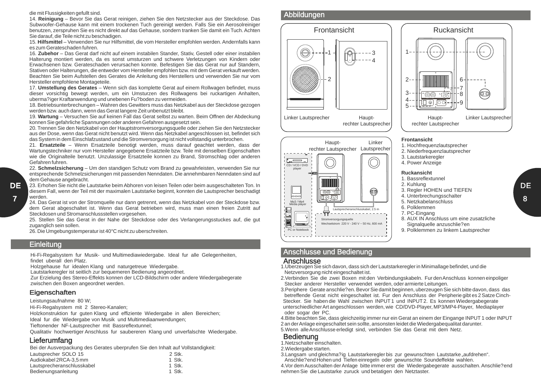die mit Flussigkeiten gefullt sind.

14. **Reinigung** – Bevor Sie das Gerat reinigen, ziehen Sie den Netzstecker aus der Steckdose. Das Subwoofer-Gehause kann mit einem trockenen Tuch gereinigt werden. Falls Sie ein Aerosolreiniger benutzen, zerspruhen Sie es nicht direkt auf das Gehause, sondern tranken Sie damit ein Tuch. Achten Sie darauf, die Teile nicht zu beschadigen.

15. **Hilfsmittel** – Verwenden Sie nur Hilfsmittel, die vom Hersteller empfohlen werden. Andernfalls kann es zum Gerateschaden fuhren.

16. **Zubehor** – Das Gerat darf nicht auf einem instabilen Stander, Stativ, Gestell oder einer instabilen Halterung montiert werden, da es sonst umsturzen und schwere Verletzungen von Kindern oder Erwachsenen bzw. Gerateschaden verursachen konnte. Befestigen Sie das Gerat nur auf Standern, Stativen oder Halterungen, die entweder vom Hersteller empfohlen bzw. mit dem Gerat verkauft werden. Beachten Sie beim Aufstellen des Gerates die Anleitung des Herstellers und verwenden Sie nur vom Hersteller empfohlene Montageteile.

17. **Umstellung des Gerates** – Wenn sich das komplette Gerat auf einem Rollwagen befindet, muss dieser vorsichtig bewegt werden, um ein Umsturzen des Rollwagens bei ruckartigen Anhalten, uberma?iger Kraftanwendung und unebenen Fu?boden zu vermeiden.

18. Betriebsunterbrechungen – Wahren des Gewitters muss das Netzkabel aus der Steckdose gezogen werden bzw. auch dann, wenn das Gerat langere Zeit unbenutzt bleibt.

19. **Wartung** – Versuchen Sie auf keinen Fall das Gerat selbst zu warten. Beim Offnen der Abdeckung konnen Sie gefahrliche Spannungen oder anderen Gefahren ausgesetzt sein.

20. Trennen Sie den Netzkabel von der Hauptstromversorgungsquelle oder ziehen Sie den Netzstecker aus der Dose, wenn das Gerat nicht benutzt wird. Wenn das Netzkabel angeschlossen ist, befindet sich das System in dem Einschlafzustand und die Stromversorgung ist nicht vollstandig unterbrochen.

21. **Ersatzteile** – Wenn Ersatzteile benotigt werden, muss darauf geachtet werden, dass der Wartungstechniker nur vom Hersteller angegebene Ersatzteile bzw. Teile mit denselben Eigenschaften wie die Originalteile benutzt. Unzulassige Ersatzteile konnen zu Brand, Stromschlag oder anderen Gefahren fuhren.

22. **Schmelzsicherung** – Um den standigen Schutz vom Brand zu gewahrleisten, verwenden Sie nur entsprechende Schmelzsicherungen mit passenden Nenndaten. Die annehmbaren Nenndaten sind auf dem Gehause angebracht.

DE 23. Erhohen Sie nicht die Lautstarke beim Abhoren von leisen Teilen oder beim ausgeschalteten Ton. In diesem Fall, wenn der Teil mit der maximalen Lautstarke beginnt, konnten die Lautsprecher beschadigt werden.

24. Das Gerat ist von der Stromquelle nur dann getrennt, wenn das Netzkabel von der Steckdose bzw. dem Gerat abgeschaltet ist. Wenn das Gerat betrieben wird, muss man einen freien Zutritt auf Steckdosen und Stromanschlussstellen vorgesehen.

25. Stellen Sie das Gerat in der Nahe der Steckdose oder des Verlangerungsstuckes auf, die gut zuganglich sein sollen.

26. Die Umgebungstemperatur ist 40°C nicht zu uberschreiten.

## **Einleitung**

7

Hi-Fi-Regalsystem fur Musik- und Multimediawiedergabe. Ideal fur alle Gelegenheiten, findet uberall den Platz.

Holzgehause fur idealen Klang und naturgetreue Wiedergabe.

Lautstarkeregler ist seitlich zur bequemeren Bedienung angeordnet.

Zur Erzielung des Stereo-Effekts konnen der LCD-Bildschirm oder andere Wiedergabegerate zwischen den Boxen angeordnet werden.

## **Eigenschaften**

Leistungsaufnahme 80 W;

Hi-Fi-Regalsystem mit 2 Stereo-Kanalen;

Holzkonstruktion fur guten Klang und effiziente Wiedergabe in allen Bereichen;

Ideal fur die Wiedergabe von Musik und Multimediaanwendungen;

Tieftonender NF-Lautsprecher mit Bassreflextunnel;

Qualitativ hochwertiger Anschluss fur saubereren Klang und unverfalschte Wiedergabe.

## Lieferumfang

Bei der Ausverpackung des Gerates uberprufen Sie den Inhalt auf Vollstandigkeit:

| Lautsprecher SOLO 15       | 2 Stk. |
|----------------------------|--------|
| Audiokabel 2RCA-3.5 mm     | 1 Stk. |
| Lautsprecheranschlusskabel | 1 Stk. |
| Bedienungsanleitung        | 1 Stk. |

## Abbildungen





#### **Frontansicht**

- 1. Hochfrequenzlautsprecher
- 2. Niederfrequenzlautsprecher
- 3. Lautstarkeregler
- 4. Power Anzeige

#### **Ruckansicht**

- 1. Bassreflextunnel
- 2. Kuhlung
- 3. Regler HOHEN und TIEFEN
- 4. Unterbrechungsschalter
- 5. Netzkabelanschluss
- 6. Polklemmen
- 7. PC-Eingang
- 8. AUX IN Anschluss um eine zusatzliche Signalquelle anzuschlie?en
- 9. Polklemmen zu linkem Lautsprecher

## Anschlusse und Bedienung

 $\overline{\mathsf{T}}$  on  $\overline{\mathsf{p}}$ R L AUDIO INPUT

Stromversorgungsquelle

Haupt-

Lautsprecheranschlusskabel, 2.5 m

Wechselstrom 220 V - 240 V ~ 50 Hz, 600 mA

rechter Lautsprecher Lautsprecher

Linker

60

### Anschlusse

PC or Notebook

Mp3 / Mp4 Media player

**Poo** 

CD / VCD / DVD player

 $\overline{\phantom{a}}$   $\overline{\phantom{a}}$   $\overline{\phantom{a}}$   $\overline{\phantom{a}}$   $\overline{\phantom{a}}$ 

- 1.Uberzeugen Sie sich davon, dass sich der Lautstarkeregler in Minimallage befindet, und die Netzversorgung nicht eingeschaltet ist.
- 2.Verbinden Sie die zwei Boxen mit den Verbindungskabeln. Fur den Anschluss konnen einpoliger Stecker anderer Hersteller verwendet werden, oder armierte Leitungen.
- 3.Periphere Gerate anschlie?en. Bevor Sie damit beginnen, uberzeugen Sie sich bitte davon, dass das betreffende Gerat nicht eingeschaltet ist. Fur den Anschluss der Peripherie gibt es 2 Satze Cinch- Stecker. Sie haben die Wahl zwischen INPUT1 und INPUT2. Es konnen Wiedergabegerate unterschiedlicher Art angeschlossen werden, wie CD/DVD-Player, MP3/MP4-Player, Mediaplayer oder sogar der PC.

4.Bitte beachten Sie, dass gleichzeitig immer nur ein Gerat an einem der Eingange INPUT 1 oder INPUT 2 an der Anlage eingeschaltet sein sollte, ansonsten leidet die Wiedergabequalitat darunter.

5.Wenn alle Anschlusse erledigt sind, verbinden Sie das Gerat mit dem Netz.

## Bedienung

- 1.Netzschalter einschalten.
- 2.Wiedergabe starten. 3.Langsam und gleichma?ig Lautstarkeregler bis zur gewunschten Lautstarke "aufdrehen".
- Anschlie?end Hohen und Tiefen einregeln oder gewunschte Soundeffekte wahlen.
- 4.Vor dem Ausschalten der Anlage bitte immer erst die Wiedergabegerate ausschalten. Anschlie?end nehmen Sie die Lautstarke zuruck und betatigen den Netztaster.

**DE**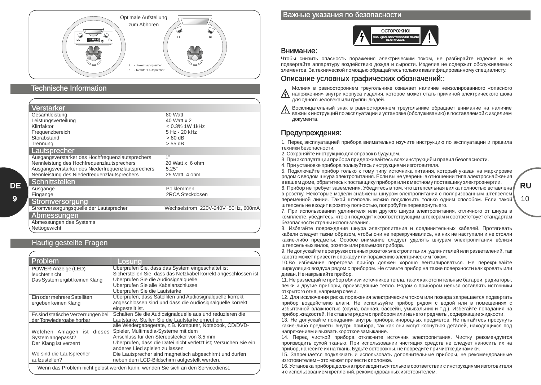

## Technische Information

| <b>Verstarker</b>                                                                                                                                                                                                             |                                                                                        |
|-------------------------------------------------------------------------------------------------------------------------------------------------------------------------------------------------------------------------------|----------------------------------------------------------------------------------------|
| Gesamtleistung<br>Leistungsverteilung<br>Klirrfaktor<br>Frequenzbereich<br>Storabstand<br>Trennung                                                                                                                            | 80 Watt<br>40 Watt x 2<br>$< 0.3\%$ 1W 1kHz<br>5 Hz - 20 kHz<br>$> 80$ dB<br>$> 55$ dB |
| Lautsprecher                                                                                                                                                                                                                  |                                                                                        |
| Ausgangsverstarker des Hochfrequenzlautsprechers<br>Nennleistung des Hochfrequenzlautsprechers<br>Ausgangsverstarker des Niederfrequenzlautsprechers<br>Nennleistung des Niederfrequenzlautsprechers<br><b>Schnittstellen</b> | 1"<br>20 Watt x 6 ohm<br>5.25"<br>25 Watt, 4 ohm                                       |
| Ausgange<br>Eingange                                                                                                                                                                                                          | Polklemmen<br>2RCA Steckdosen                                                          |
| Stromversorgung                                                                                                                                                                                                               |                                                                                        |
| Stromversorgungsquelle der Lautsprecher                                                                                                                                                                                       | Wechselstrom 220V-240V~50Hz, 600mA                                                     |
| Abmessungen                                                                                                                                                                                                                   |                                                                                        |
| Abmessungen des Systems<br>Nettogewicht                                                                                                                                                                                       |                                                                                        |

## Haufig gestellte Fragen

| <b>Problem</b>                                                                   | Losuna                                                           |
|----------------------------------------------------------------------------------|------------------------------------------------------------------|
| POWER-Anzeige (LED)                                                              | Uberprufen Sie, dass das System eingeschaltet ist                |
| leuchtet nicht                                                                   | Sicherstellen Sie, dass das Netzkabel korrekt angeschlossen ist. |
| Das System ergibt keinen Klang                                                   | Uberprufen Sie die Audiosignalquelle                             |
|                                                                                  | Uberprufen Sie alle Kabelanschlusse                              |
|                                                                                  | Uberprufen Sie die Lautstarke                                    |
| Ein oder mehrere Satelliten                                                      | Uberprufen, dass Satelliten und Audiosignalguelle korrekt        |
| ergeben keinen Klang                                                             | angeschlossen sind und dass die Audiosignalguelle korrekt        |
|                                                                                  | eingestellt ist.                                                 |
| Es sind statische Verzerrungen bei                                               | Schalten Sie die Audiosignalquelle aus und reduzieren die        |
| der Tonwiedergabe horbar                                                         | Lautstarke. Stellen Sie die Lautstarke erneut ein.               |
|                                                                                  | alle Wiedergabegerate, z.B. Komputer, Notebook, CD/DVD-          |
| Welchen Anlagen ist dieses                                                       | Spieler, Multimedia-Systeme mit dem                              |
| System angepasst?                                                                | Anschluss fur den Stereostecker von 3.5 mm                       |
| Der Klang ist verzerrt                                                           | Uberprufen, dass die Datei nicht verletzt ist; Versuchen Sie ein |
|                                                                                  | anderes Lied spielen zu lassen                                   |
| Wo sind die Lautsprecher                                                         | Die Lautsprecher sind magnetisch abgeschirmt und durfen          |
| aufzustellen?                                                                    | neben dem LCD-Bildschirm aufgestellt werden.                     |
| Wenn das Problem nicht gelost werden kann, wenden Sie sich an den Servicedienst. |                                                                  |

РИСК УДАРА ЭЛЕКТРИЧЕСКИЙ СОБОК ОСТОРОЖНО!

Внимание: Чтобы снизить опасность поражения лектрическим оком, не ра бирайте изделие и не подвергайте аппара у действию дождя и сырости. Изделие не держит обслуживаемых лементов. За хнической помощью обращайтесь лько к квалифицированному специалист . Описание условных графических обозначений::  $\alpha$ напряжения» внутри орпуса изделия, орое может ст ть причиной лектрического шока для дного че овека или группы людей.  $($ 

док мента. Предупреждения: 1.  $\blacksquare$ хники опасности. 2.  $\blacksquare$  $3.$  $4.$ 

5. Подключайте прибор лько к ому типу ист чника питания, орый ук зан на маркировке ядом с вв дом шнура лектропитания. сли вы не уверены в тношении типа лектроснабжения в ашем доме, обратитесь к поставщику прибора или к местному поставщику прибора или к местному поставщику лектр<br>В 1999 году прибора и поставщику лектроэнергии. Поставщику лектроэнергии. Поставщику лектроэнергии. Поставщику 6. Прибор не тре т за емления. дитесь в ом, что штепсельная вилка полностью ставлена в ро тк . Нек орые модели снабжены шнуром лектропитания с поляризованным штепселем переменной линии. акой штепсель можно подключить лько дним способом. сли акой штепсель не вх дит в ро тку полностью, попробуйте перевернуть его. т. При использовании длинит ля или другого шнура лектропитания, личного шнура лектропитания, личного т шнура в омплек е, дитесь, что он подходитель, что он подходительно штекерам и ответительно штекерам и оотвративно и оо<br>Подходительность т стандар американских подходительность т стандар американских подходительность т стандар аме опасности страны использования.

 $8.$ аб ли следу т аким обра ом, чтобы они не перекручивались, на них не стоялись, на них не наступали и не стоялис акие-либо предметы. Особое внимание следу т делять шнурам лектропитания лизи штепсельных вилок, ро ок или ра ъемов прибора. е перегрузки стенений стенений стенений розволят длинит лей или разв твлений длинит лей или разв твлений длини<br>В перегрузки стенений по перегрузки стенений для перегрузки стенений для перегрузки стенений по перегрузки сте ак о может привести к пожару или поражению лектрическим оком. 10. $\blacksquare$ цирк ляцию духа ядом с прибором. Не ставь е прибор на акие поверхности ак кров ть или диван. Не накрывайте прибор.

11. Не размещайте прибор лизи ист чников с прибор лизи ист чников епла, радиа оры, радиа оры, радиа оры, радиа печки и другие приборы, приборы, приборы, приборы, приборы, приборы, приборы, приборы, приборы, приборы, прибо ткрытого огня, например св чи. 12.  $\blacksquare$ прибор действию лаги. Не используйте прибор ядом с дой или в помещениях с избыт чной лажностью (сауна, анная, ассейн, мывальник и .д.). Из егайте попадания на прибор жидкостей. Не ставь е ядом с прибором или на него прибором или на него предметы, держащие жидкости. Не

13. Не допускайте попадания в прибора инородных прибора инородных предметов. Не пытайтесь просунуть просунуть акие-либо предметы в предметы в прибора, ак они могут оснуться действия действа под действия действия действия<br>В прибора, нах дящихся под действия действия действия действия действия действия действия действия действия де напряжением и вызв ть ороткое замыкание. 14.  $\blacksquare$ произв дить сухой тканью. При использовании чистящих средств не следу т наносить их на прибор, нанесите их на ткань. дь е осторожны, не повредите при чистке динамики. 15. Запрещае ся подключать и использов ть дополнит льные приборы, не рекомендованные приборы, не рекомендованные при изг овит лем – о может привести к по омке.

16. становка прибора должна прибора должна прибора должна прибора должна прибора  $\mathbf{r}$ и с использованием креплений, рекомендованием креплений, рекомендованием креплений, рекомендованных изгледован<br>В после политических изглятов по сталкованием креплений, рекомендованием креплений, рекомендованных изглятов п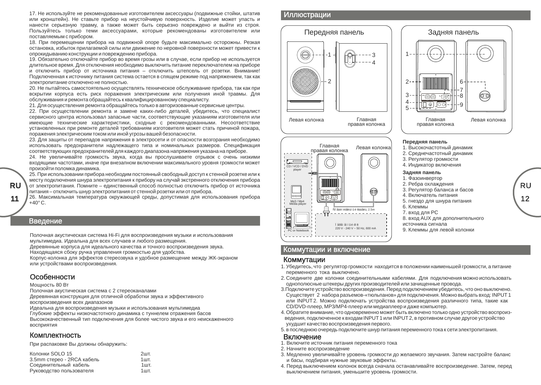

 $21.22.$ 

23. 24. 25. **RU** 

Hi-Fi



 $\sqrt{2}$ 

SOLO 15<br>- 2RCA  $3.5<sub>mm</sub>$  $\mathbf{1}$  $1$  .  $\mathbf{1}$ 

26.<br>+40°

 $11$ 







 $2.$ 

5.

PC **AUX** 

 $1.$  $3.$  $:$  INPUT 1  $\overline{2}$ INPUT2. CD/DVD-, MP3/MP4- $4.$ INPUT1 INPUT<sub>2</sub>,

 $\frac{1}{2}$ .<br>3.  $\overline{4}$ .

 $RU$  $12$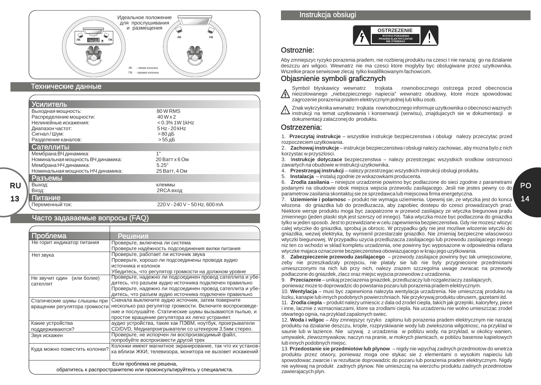

| ٠<br>٠<br>٠<br>٠<br>٠ | 80WRMS<br>40Wx2<br><0.3% 1W 1kHz<br>5 Hz - 20 kHz<br>> 80<br>> 55 |
|-----------------------|-------------------------------------------------------------------|
|                       |                                                                   |
|                       | 1"<br>20<br>x6                                                    |
|                       | 5.25"<br>25<br>,4                                                 |
|                       |                                                                   |
|                       | 2RCA                                                              |
|                       |                                                                   |
| ٠                     | $220 \text{ V} - 240 \text{ V} \approx 50 \text{ Hz}$ 600 mA      |

**(FAQ)** 

**RU** 

13

|                          | $^\mathrm{J}$                  |                          |
|--------------------------|--------------------------------|--------------------------|
|                          |                                |                          |
|                          | $^\mathrm{J}$                  |                          |
|                          | ,                              |                          |
|                          | $^\mathrm{''}$                 |                          |
|                          | $^\mathrm{^{1}}$               |                          |
|                          | ,                              |                          |
|                          | $\overline{\phantom{a}}$       |                          |
|                          | $^\mathrm{^{1}}$               |                          |
|                          |                                |                          |
|                          | $\blacksquare$                 |                          |
|                          | $^\mathrm{+}$<br>$^\mathrm{+}$ | $\frac{1}{\frac{3.5}{}}$ |
| $\overline{\phantom{0}}$ | CD/DVD,                        |                          |
|                          | $^\mathrm{''}$                 | $^\mathrm{''}$           |
| $\mathcal{P}$            | ,                              |                          |
|                          | $^\mathrm{J}$<br>$^\mathrm{+}$ |                          |
|                          |                                |                          |
|                          | $\,$                           |                          |

## Instrukcia obs ugi

**OSTRZEZENIE** 

## Ostroznie:

Aby zmniejszyc ryzyko porazenia pradem, nie rozbieraj produktu na czesci I nie narazaj go na dzialanie deszczu ani wilgoci. Wewnatrz nie ma czesci ktore moglyby byc obslugiwane przez uzytkownika. Wszelkie prace serwisowe zlecaj tylko kwalifikowanym fachowcom.

## Obiasnienie symboli graficznych

Symbol blyskawicy wewnatrz trojkata rownobocznego ostrzega przed obecnoscia /A nieizolowanego "niebezpiecznego napiecia" wewnatrz obudowy, ktore moze spowodowac zagrozenie porazenia pradem elektrycznym jednej lub kilku osob.

Znak wykrzyknika wewnatrz troikata rownobocznego informuje uzytkownika o obecnosci waznych

instrukcji na temat uzytkowania i konserwacji (serwisu), znajdujacych sie w dokumentacji w dokumentacji zalaczonej do produktu.

## Ostrzezenia:

1. Przeczytaj instrukcje – wszystkie instrukcje bezpieczenstwa i obsługi należy przeczytac przed rozpoczeciem uzytkowania.

2. Zachowaj instrukcje – instrukcje bezpieczenstwa i obsługi nalezy zachowac, aby mozna było z nich korzystac w przyszlosci.

3. Instrukcje dotyczace bezpieczenstwa – nalezy przestrzegac wszystkich srodkow ostroznosci zawartych na obudowie w instrukcji uzytkownika.

4. Przestrzegaj instrukcji – nalezy przestrzegac wszystkich instrukcji obslugi produktu.

5. Instalacja – instaluj zgodnie ze wskazowkami producenta.

6. Zrodla zasilania - niniejsze urzadzenie powinno byc podlaczone do sieci zgodnie z parametrami podanymi na obudowie obok miejsca wejscia przewodu zasilającego. Jesli nie jestes pewny co do parametrow zasilania skontaktuj sie ze sprzedawca lub miejscowa firma energetyczna.

7. Uziemienie i polarnosc - produkt nie wymaga uziemienia. Upewnij sie, ze wtvczka jest do konca wlozona do gniazdka lub do przedluzacza, aby zapobiec dostepu do czesci prowadzacych prad. Niektore wersje produktu moga byc zaopatrzone w przewod zasilający ze wtyczka biegunowa pradu zmiennego (jeden plaski styk jest szerszy od innego). Taka wtyczka moze byc podlaczona do gniazdka tylko w jeden sposob. Jest to przewidziane w celu zapewnienia bezpieczenstwa. Gdy nie mozesz włożyc calej wtyczke do gniazdka, sprobuj ja obrocic. W przypadku gdy nie jest mozliwe włożenie wtyczki do gniazdka, wezwij elektryka, by wymienil przestarzale gniazdko. Nie zmieniaj bezpieczne własciwosci wtyczki biegunowej. W przypadku uzycia przedluzacza zasilającego lub przewodu zasilającego innego niz ten co wchodzi w sklad kompletu urzadzenia, one powinny byc wyposazone w odpowiednia odlana wtyczke majaca oznaczenie bezpieczenstwa obowiazującego w kraju jego uzytkowania.

8. Zabezpieczenie przewodu zasilającego – przewody zasilające powinny byc tak umiejscowione. zeby nie przeszkadzaly przejsciu, nie plataly sie lub nie byly przygniecione przedmiotami umieszczonymi na nich lub przy nich, nalezy zrazem szczegolna uwage zwracac na przewody podľaczone do gniazdek, zlacz oraz miejsc wyjscia przewodow z urządzenia.

9. Przeciazenie – unikaj przeciazenia gniazdek, przedluzaczy lub rozgaleziaczy zasilajacych, poniewaz moze to doprowadzic do powstania pozaru lub porazenia pradem elektrycznym.

10. Wentylacja – musi byc zapewniona nalezyta wentylacja urzadzenia. Nie umieszczaj produktu na lozku, kanapie lub innych podobnych powierzchniach. Nie przykrywaj produktu obrusem, gazetami itd.

11. Zrodla ciepla – produkt nalezy umiescic z dala od zrodel ciepla, takich jak grzejniki, kaloryfery, piece i inne, lacznie z wzmacniaczami, ktore sa zrodlami ciepla. Na urzadzeniu nie wolno umieszczac zrodel otwartego ognia, na przyklad zapalonych swiec.

12. Woda i wilgoc - Aby zmniejszyc ryzyko zaplonu lub porazenia pradem elektrycznym nie narazaj produktu na dzialanie deszczu, krople, rozpryskiwanie wody lub zwiekszona wilgotnosc, na przyklad w saunie lub w lazience. Nie uzywaj z urzadzenia w poblizu wody, na przyklad, w okolicy wanien, umywalek, zlewozmywakow, naczyn na pranie, w mokrych piwnicach, w poblizu basenow kapielowych lub innych podobnych miejsc.

13. Przedostanie się przedmiotow lub plynow – nigdy nie wpychaj zadnych przedmiotow do wnetrza produktu przez otwory, poniewaz moga one stykac sie z elementami o wysokim napieciu lub spowodowac zwarcie i w rezultacie doprowadzic do pozaru lub porazenia pradem elektrycznym. Nigdy nie wylewaj na produkt zadnych plynow. Nie umieszczaj na wierzchu produktu zadnych przedmiotow zawierających plyn.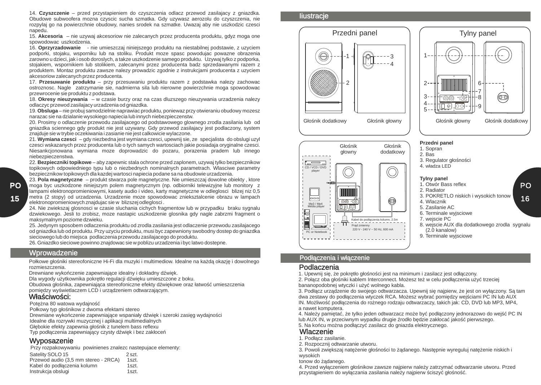14. **Czyszczenie** – przed przystapieniem do czyszczenia odlacz przewod zasilajacy z gniazdka. Obudowe subwoofera mozna czyscic sucha szmatka. Gdy uzywasz aerozolu do czyszczenia, nie rozpylaj go na powierzchnie obudowy, nanies srodek na szmatke. Uwazaj aby nie uszkodzic czesci napedu.

15. **Akcesoria** – nie uzywaj akcesoriow nie zalecanych przez producenta produktu, gdyz moga one spowodowac uszkodzenia.

16. **Oprzyrzadowanie** - nie umieszczaj niniejszego produktu na niestabilnej podstawie, z uzyciem podporki, stojaku, wsporniku lub na stoliku. Produkt moze spasc powodujac powazne obrazenia zarowno u dzieci, jak i osob doroslych, a takze uszkodzenie samego produktu. Uzywaj tylko z podporka, stojakiem, wspornikiem lub stolikiem, zalecanymi przez producenta badz sprzedawanymi razem z produktem. Montaz produktu zawsze nalezy prowadzic zgodnie z instrukcjami producenta z uzyciem akcesoriow zalecanych przez producenta.

17. **Przesuwanie produktu** – przy przesuwaniu produktu razem z podstawka nalezy zachowac ostroznosc. Nagle zatrzymanie sie, nadmierna sila lub nierowne powierzchnie moga spowodowac przewrocenie sie produktu z podstawa.

18. **Okresy nieuzywania** – w czasie burzy oraz na czas dluzszego nieuzywania urzadzenia nalezy odlaczyc przewod zasilajacy urzadzenia od gniazdka.

19. **Obsluga** – nie probuj samodzielnie naprawiac produktu, poniewaz przy otwieraniu obudowy mozesz narazac sie na dzialanie wysokiego napiecia lub innych niebezpieczenstw.

20. Prosimy o odlaczenie przewodu zasilajacego od podstawowego glownego zrodla zasilania lub od gniazdka sciennego gdy produkt nie jest uzywany. Gdy przewod zasilajacy jest podlaczony, system znajduje sie w trybie oczekiwania i zasianie nie jest calkowicie wylaczone.

21. **Wymiana czesci** – gdy niezbedna jest wymiana czesci, upewnij sie, ze specjalista do obslugi uzyl czesci wskazanych przez producenta lub o tych samych wartosciach jakie posiadaja oryginalne czesci. Niesankcjonowana wymiana moze doprowadzic do pozaru, porazenia pradem lub innego niebezpieczenstwa.

22. **Bezpieczniki topikowe** – aby zapewnic stala ochrone przed zaplonem, uzywaj tylko bezpiecznikow topikowych odpowiedniego typu lub o niezbednych nominalnych parametrach. Wlasciwe parametry bezpiecznikow topikowych dla kazdej wartosci napiecia podane sa na obudowie urzadzenia.

23. **Pola magnetyczne** – produkt stwarza pole magnetyczne. Nie umieszczaj dowolne obiekty , ktore moga byc uszkodzone niniejszym polem magnetycznym (np. odbiorniki telewizyjne lub monitory z

lampami elektronopromieniowymi, kasety audio i video, karty magnetyczne w odleglosci blizej niz 0,5 metra (2 stopy) od urzadzenia. Urzadzenie moze spowodowac znieksztalcenie obrazu w lampach

elektronopromieniowych znajdujac sie w blizszej odleglosci .

24. Nie zwiekszaj glosnosci w czasie sluchania cichych fragmentow lub w przypadku braku sygnalu dzwiekowego. Jesli to zrobisz, moze nastapic uszkodzenie glosnika gdy nagle zabrzmi fragment o maksymalnym poziome dzwieku.

25. Jedynym sposobem odlaczenia produktu od zrodla zasilania jest odlaczenie przewodu zasilajacego od gniazdka lub od produktu. Przy uzyciu produktu, musi byc zapewniony swobodny dostep do gniazdka sieciowego lub do miejsca podlaczenia przewodu zasilajacego do produktu.

26. Gniazdko sieciowe powinno znajdowac sie w poblizu urzadzenia i byc latwo dostepne.

## **Wprowadzenie**

Połkowe gło niki stereofoniczne Hi-Fi dla muzyki i multimediow. Idealne na ka d okazj i dowolnego rozmieszczenia.

Drewniane wyko czenie zapewniaj ce idealny i dokładny d wi k.

Dla wygody u ytkownika pokr tło regulacji d wi ku umieszczone z boku.

Obudowa gło nika, zapewniaj ca stereofoniczne efekty d wi kowe oraz łatwo umieszczenia

pomi dzy wy wietlaczem LCD i urz dzeniem odtwarzaj cym.

## Wła ciwo ci:

Pot na 80 watowa wydajno

Połkowy typ gło nikow z dwoma efektami stereo

Drewniane wyko czenie zapewniaj ce wspaniały d wi k i szeroki zasi g wydajno ci Idealne dla rozrywki muzycznej i aplikacji multimedialnych Gł bokie efekty zapewnia gło nik z tunelem bass reflexu Typ podł czenia zapewniaj cy czysty d wi k i bez zakłoce

## Wyposazenie

Przy rozpakowywaniu powinienes znalezc nastepujace elementy: Satelity SOLO 15 2 szt.<br>Przewod audio (3.5 mm stereo - 2RCA) 1 szt. Przewod audio (3,5 mm stereo - 2RCA) Kabel do podłoczenia kolumn 1szt.<br>Instrukcja obsługi 1szt. 1szt. Instrukcja obslugi 2 szt.

## **liustracie**





#### Gło nik Gło nik głowny dodatkowy  $\overline{\phantom{a}}$   $\overline{\phantom{a}}$   $\overline{\phantom{a}}$   $\overline{\phantom{a}}$   $\overline{\phantom{a}}$   $\overline{\phantom{a}}$   $\overline{\phantom{a}}$   $\overline{\phantom{a}}$   $\overline{\phantom{a}}$   $\overline{\phantom{a}}$   $\overline{\phantom{a}}$   $\overline{\phantom{a}}$   $\overline{\phantom{a}}$   $\overline{\phantom{a}}$   $\overline{\phantom{a}}$   $\overline{\phantom{a}}$   $\overline{\phantom{a}}$   $\overline{\phantom{a}}$   $\overline{\$ CD / VCD / DVD player |<del>...</del>  $\odot$ ൈ Mp3 / Mp4 Media player  $\overline{100.00}$ Kabel do podł czenia kolumn, 2.5m דד Pr<sub>d</sub> zmienny 220 V - 240 V ~ 50 Hz, 600 mAPC or Notebook

#### **Przedni panel** 1. Sopran

- 2. Bas
- 

**Tylny panel**

- 3. Regulator gło no ci 4. władza LED
- 

- 1. Otwór Bass reflex
- 2. Radiator
- 3. POKRETLO niskich i wysokich tonow 4. Wlacznik
	-

PO 16

- 5. Zasilanie AC
- 6. Terminale wyjsciowe 7. wejscie PC
- 8. wejscie AUX dla dodatkowego zrodla sygnalu (2.0 kanalow)
- 9. Terminale wyjsciowe

## Podł czenia i wł czenie

## Podlaczenia

1. Upewnij się, e pokrętło gło ności jest na minimum i zasilacz jest odłęczony.

2. Poł cz oba gło niki kablem Interconnect. Mo esz te w celu podł czenia u y trzeciej bananopodobnej wtyczki i u y wolnego kabla.

3. Podł cz urz dzenie do swojego odtwarzacza. Upewnij si najpierw, e jest on wył czony. S tam dwa zestawy do podł czenia wtyczek RCA. Mo esz wybra pomi dzy wej ciami PC IN lub AUX IN. Mo liwo podł czenia do ro nego rodzaju odtwarzaczy, takich jak: CD, DVD lub MP3, MP4, a nawet komputera.

4. Nale y pami ta, e tylko jeden odtwarzacz mo e by podł czony jednorazowo do wej PC IN lub AUX IN, w przeciwnym wypadku drugie rodło b dzie zakłoca jako pierwszego. 5. Na ko cu mo na podł czy zasilacz do gniazda elektrycznego.

## Wlaczenie

- 1. Podł. cz zasilanie.
- 2. Rozpocznij odtwarzanie utworu.
- 3. Powoli zwi kszaj natęcnie gło no ci to danego. Następnie wyreguluj natęcnie niskich i wysokich

tonow do danego.

4. Przed wył czeniem gło nikow zawsze najpierw nale y zatrzyma odtwarzanie utworu. Przed przyst pieniem do wył czania zasilania nale y najpierw ciszy gło no.

PO